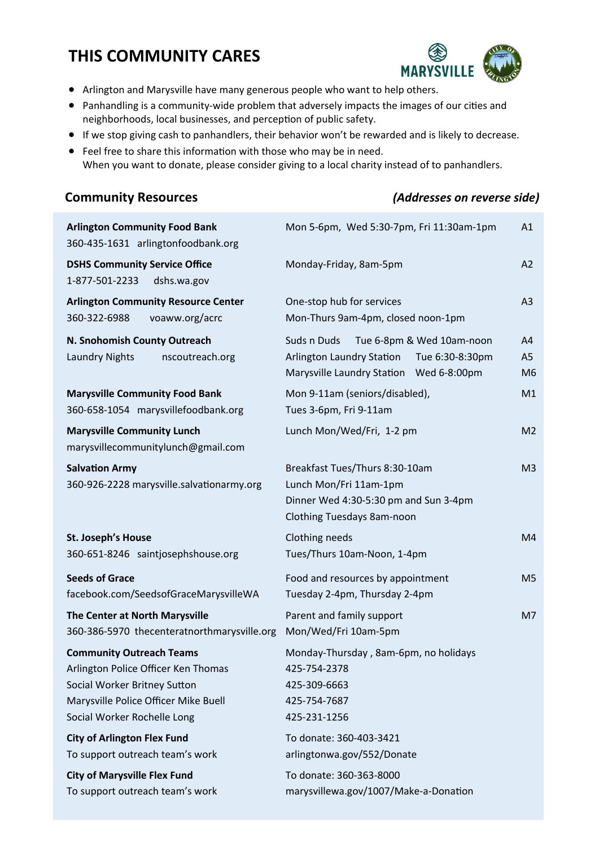## **THIS COMMUNITY CARES**



- Arlington and Marysville have many generous people who want to help others.
- Panhandling is a community-wide problem that adversely impacts the images of our cities and neighborhoods, local businesses, and perception of public safety.
- If we stop giving cash to panhandlers, their behavior won't be rewarded and is likely to decrease.
- Feel free to share this information with those who may be in need.
- When you want to donate, please consider giving to a local charity instead of to panhandlers.

## **Community Resources** *(Addresses on reverse side)*

| <b>Arlington Community Food Bank</b><br>360-435-1631 arlingtonfoodbank.org                                                                                                    | Mon 5-6pm, Wed 5:30-7pm, Fri 11:30am-1pm<br>A1                                                                                      |                                        |
|-------------------------------------------------------------------------------------------------------------------------------------------------------------------------------|-------------------------------------------------------------------------------------------------------------------------------------|----------------------------------------|
| <b>DSHS Community Service Office</b><br>1-877-501-2233<br>dshs.wa.gov                                                                                                         | Monday-Friday, 8am-5pm                                                                                                              |                                        |
| <b>Arlington Community Resource Center</b><br>360-322-6988<br>voaww.org/acrc                                                                                                  | One-stop hub for services<br>Mon-Thurs 9am-4pm, closed noon-1pm                                                                     | A <sub>3</sub>                         |
| N. Snohomish County Outreach<br><b>Laundry Nights</b><br>nscoutreach.org                                                                                                      | Tue 6-8pm & Wed 10am-noon<br>Suds n Duds<br>Arlington Laundry Station<br>Tue 6:30-8:30pm<br>Marysville Laundry Station Wed 6-8:00pm | A <sub>4</sub><br>A5<br>M <sub>6</sub> |
| <b>Marysville Community Food Bank</b><br>360-658-1054 marysvillefoodbank.org                                                                                                  | Mon 9-11am (seniors/disabled),<br>M1<br>Tues 3-6pm, Fri 9-11am                                                                      |                                        |
| <b>Marysville Community Lunch</b><br>marysvillecommunitylunch@gmail.com                                                                                                       | Lunch Mon/Wed/Fri, 1-2 pm<br>M <sub>2</sub>                                                                                         |                                        |
| <b>Salvation Army</b><br>360-926-2228 marysville.salvationarmy.org                                                                                                            | Breakfast Tues/Thurs 8:30-10am<br>Lunch Mon/Fri 11am-1pm<br>Dinner Wed 4:30-5:30 pm and Sun 3-4pm<br>Clothing Tuesdays 8am-noon     |                                        |
| St. Joseph's House<br>360-651-8246 saintjosephshouse.org                                                                                                                      | Clothing needs<br>Tues/Thurs 10am-Noon, 1-4pm                                                                                       |                                        |
| <b>Seeds of Grace</b><br>facebook.com/SeedsofGraceMarysvilleWA                                                                                                                | Food and resources by appointment<br>M <sub>5</sub><br>Tuesday 2-4pm, Thursday 2-4pm                                                |                                        |
| The Center at North Marysville<br>360-386-5970 thecenteratnorthmarysville.org                                                                                                 | Parent and family support<br>M <sub>7</sub><br>Mon/Wed/Fri 10am-5pm                                                                 |                                        |
| <b>Community Outreach Teams</b><br>Arlington Police Officer Ken Thomas<br>Social Worker Britney Sutton<br>Marysville Police Officer Mike Buell<br>Social Worker Rochelle Long | Monday-Thursday, 8am-6pm, no holidays<br>425-754-2378<br>425-309-6663<br>425-754-7687<br>425-231-1256                               |                                        |
| <b>City of Arlington Flex Fund</b><br>To support outreach team's work                                                                                                         | To donate: 360-403-3421<br>arlingtonwa.gov/552/Donate                                                                               |                                        |
| <b>City of Marysville Flex Fund</b><br>To support outreach team's work                                                                                                        | To donate: 360-363-8000<br>marysvillewa.gov/1007/Make-a-Donation                                                                    |                                        |